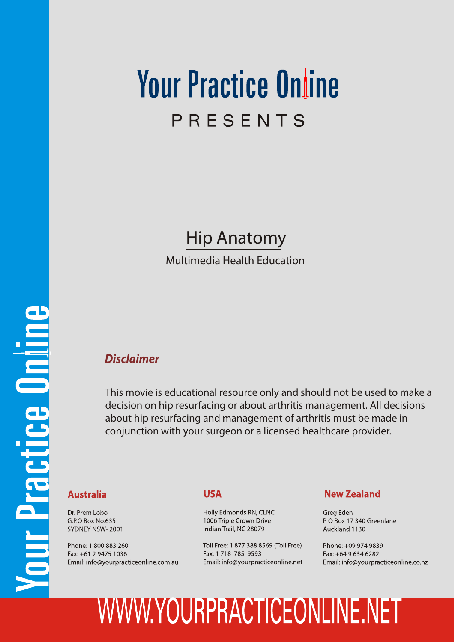### **Your Practice Online** PRESENTS

### Hip Anatomy

Multimedia Health Education

### *Disclaimer*

This movie is educational resource only and should not be used to make a decision on hip resurfacing or about arthritis management. All decisions about hip resurfacing and management of arthritis must be made in conjunction with your surgeon or a licensed healthcare provider.

#### **Australia**

Dr. Prem Lobo G.P.O Box No.635 SYDNEY NSW-2001

Phone: 1 800 883 260 Fax: +61 2 9475 1036 Email: info@yourpracticeonline.com.au

#### **USA**

Holly Edmonds RN, CLNC 1006 Triple Crown Drive Indian Trail, NC 28079

Toll Free: 1 877 388 8569 (Toll Free) Fax: 1 718 785 9593 Email: info@yourpracticeonline.net

#### **New Zealand**

Greg Eden PO Box 17 340 Greenlane Auckland 1130

Phone: +09 974 9839 Fax: +64 9 634 6282 Email: info@yourpracticeonline.co.nz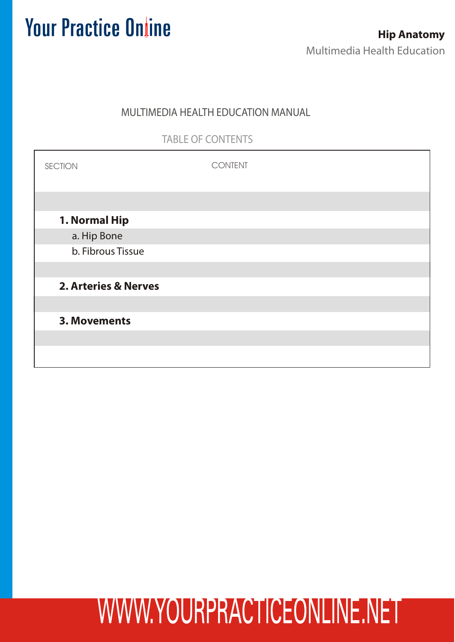### MULTIMEDIA HEALTH EDUCATION MANUAL

### TABLE OF CONTENTS

| <b>SECTION</b>                  | <b>CONTENT</b> |
|---------------------------------|----------------|
|                                 |                |
| 1. Normal Hip                   |                |
| a. Hip Bone                     |                |
| b. Fibrous Tissue               |                |
|                                 |                |
| <b>2. Arteries &amp; Nerves</b> |                |
|                                 |                |
| 3. Movements                    |                |
|                                 |                |
|                                 |                |
|                                 |                |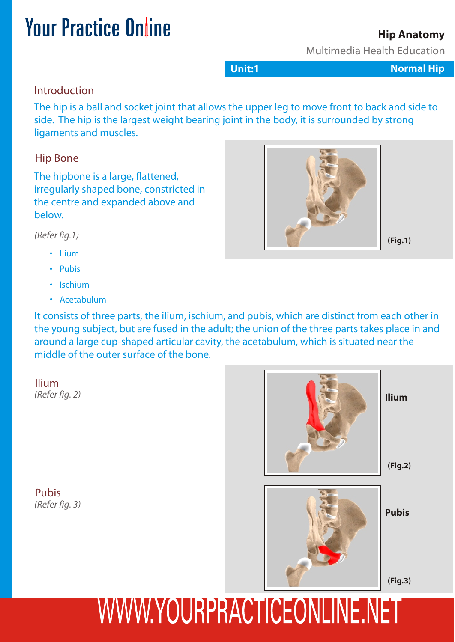### Multimedia Health Education

**Unit:1 Normal Hip** 

**Hip Anatomy**

Introduction

The hip is a ball and socket joint that allows the upper leg to move front to back and side to side. The hip is the largest weight bearing joint in the body, it is surrounded by strong ligaments and muscles.

#### Hip Bone

The hipbone is a large, flattened, irregularly shaped bone, constricted in the centre and expanded above and below.

*(Refer fig.1)*

- Ilium
- Pubis
- Ischium
- Acetabulum

It consists of three parts, the ilium, ischium, and pubis, which are distinct from each other in the young subject, but are fused in the adult; the union of the three parts takes place in and around a large cup-shaped articular cavity, the acetabulum, which is situated near the middle of the outer surface of the bone.

Ilium<br>(Refer fig. 2)

Pubis *(Refer fig. 3)*



# WWW.YOURPRACTICEONLINE.NET

**(Fig.1)**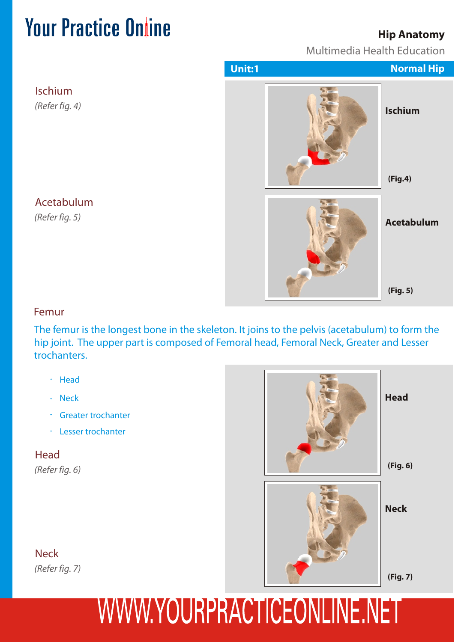### **Hip Anatomy**

Multimedia Health Education



Acetabulum

*(Refer fig. 5)*

Ischium

*(Refer fig. 4)*

#### Femur

The femur is the longest bone in the skeleton. It joins to the pelvis (acetabulum) to form the hip joint. The upper part is composed of Femoral head, Femoral Neck, Greater and Lesser trochanters.

- · Head
- Neck
- Greater trochanter
- Lesser trochanter

**Head** 

*(Refer fig. 6)*



**Head**

**Neck** *(Refer fig. 7)*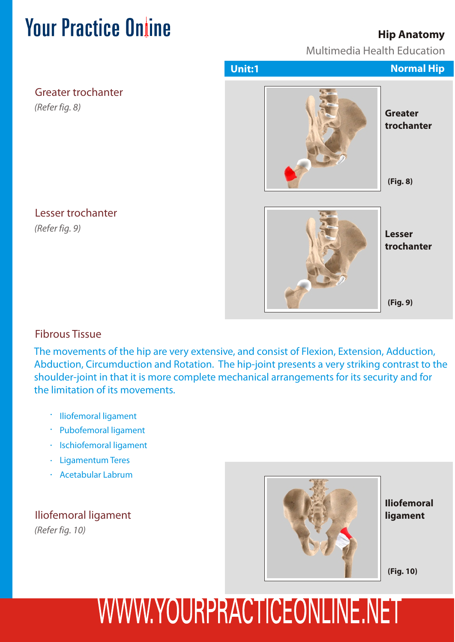### **Hip Anatomy**

Multimedia Health Education

|                                             | Unit:1 | <b>Normal Hip</b>            |
|---------------------------------------------|--------|------------------------------|
| <b>Greater trochanter</b><br>(Refer fig. 8) |        | <b>Greater</b><br>trochanter |
|                                             |        | (Fig. 8)                     |
| Lesser trochanter<br>(Refer fig. 9)         |        | <b>Lesser</b><br>trochanter  |
|                                             |        | (Fig. 9)                     |

#### Lesser trochanter

### Fibrous Tissue

The movements of the hip are very extensive, and consist of Flexion, Extension, Adduction, Abduction, Circumduction and Rotation. The hip-joint presents a very striking contrast to the shoulder-joint in that it is more complete mechanical arrangements for its security and for the limitation of its movements.

- Iliofemoral ligament
- Pubofemoral ligament
- · Ischiofemoral ligament
- Ligamentum Teres
- Acetabular Labrum

*(Refer fig. 10)* Iliofemoral ligament



**Iliofemoral ligament**

**(Fig. 10)**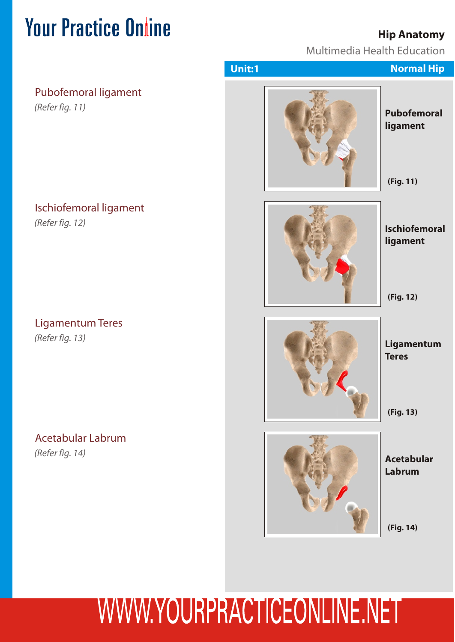### **Hip Anatomy**

Multimedia Health Education

|                                             | Unit:1 | <b>Normal Hip</b>                             |
|---------------------------------------------|--------|-----------------------------------------------|
| Pubofemoral ligament<br>(Refer fig. 11)     |        | <b>Pubofemoral</b><br>ligament<br>(Fig. 11)   |
| Ischiofemoral ligament<br>(Refer fig. 12)   |        | <b>Ischiofemoral</b><br>ligament<br>(Fig. 12) |
| <b>Ligamentum Teres</b><br>(Refer fig. 13)  |        | Ligamentum<br><b>Teres</b><br>(Fig. 13)       |
| <b>Acetabular Labrum</b><br>(Refer fig. 14) |        | <b>Acetabular</b><br>Labrum<br>(Fig. 14)      |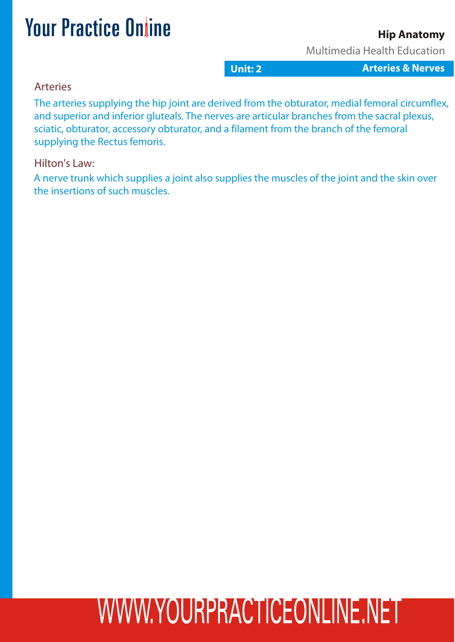### **Hip Anatomy**

Multimedia Health Education

**Unit: 2 Gastro Interies & Nerves** 

#### Arteries

The arteries supplying the hip joint are derived from the obturator, medial femoral circumflex, and superior and inferior gluteals. The nerves are articular branches from the sacral plexus, sciatic, obturator, accessory obturator, and a filament from the branch of the femoral supplying the Rectus femoris.

#### Hilton's Law:

A nerve trunk which supplies a joint also supplies the muscles of the joint and the skin over the insertions of such muscles.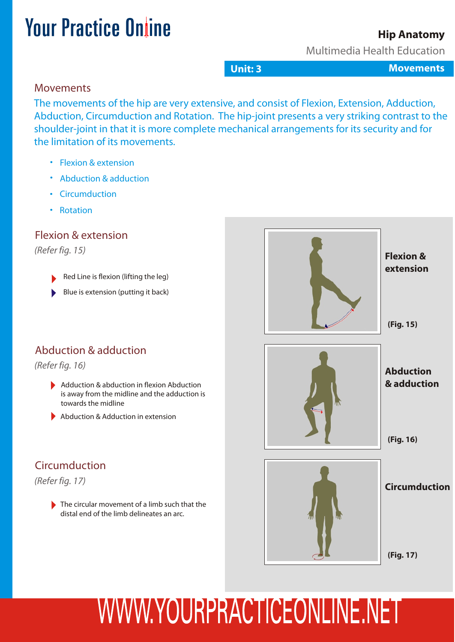#### **Hip Anatomy**

Multimedia Health Education

**Unit: 3 Gastro International Studies And Movements** 

#### Movements

The movements of the hip are very extensive, and consist of Flexion, Extension, Adduction, Abduction, Circumduction and Rotation. The hip-joint presents a very striking contrast to the shoulder-joint in that it is more complete mechanical arrangements for its security and for the limitation of its movements.

- Flexion & extension
- Abduction & adduction
- Circumduction
- Rotation

### Flexion & extension

*(Refer fig. 15)*

- Red Line is flexion (lifting the leg)
- Blue is extension (putting it back)

### Abduction & adduction

*(Refer fig. 16)*

- Adduction & abduction in flexion Abduction is away from the midline and the adduction is towards the midline
- Abduction & Adduction in extension

### Circumduction



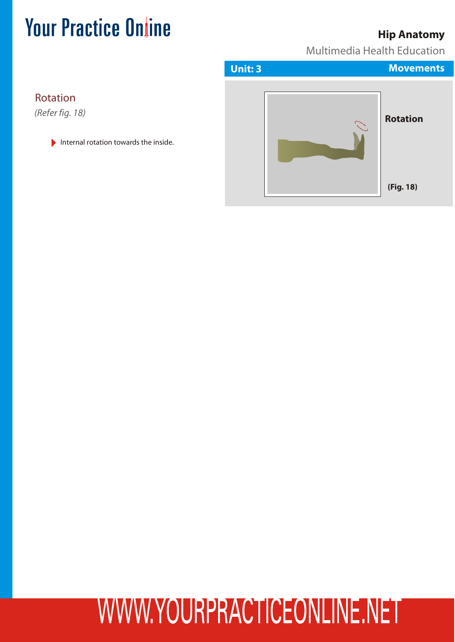### **Hip Anatomy**

Multimedia Health Education



Internal rotation towards the inside.

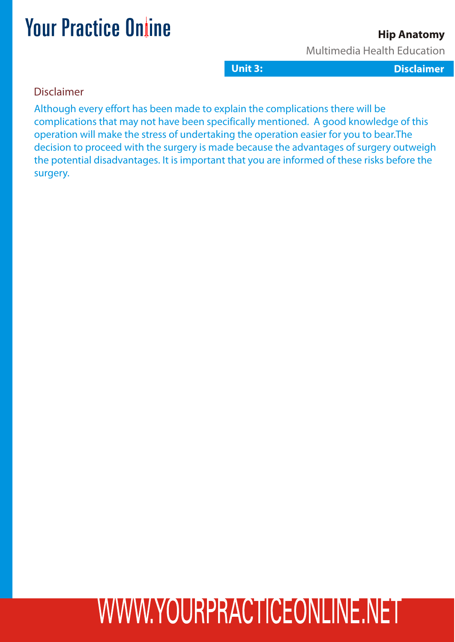### **Hip Anatomy**

Multimedia Health Education

**Unit 3: 2:3: Gastritis L Dclaimer Disclaimer essons**

#### Disclaimer

Although every effort has been made to explain the complications there will be complications that may not have been specifically mentioned. A good knowledge of this operation will make the stress of undertaking the operation easier for you to bear.The decision to proceed with the surgery is made because the advantages of surgery outweigh the potential disadvantages. It is important that you are informed of these risks before the surgery.